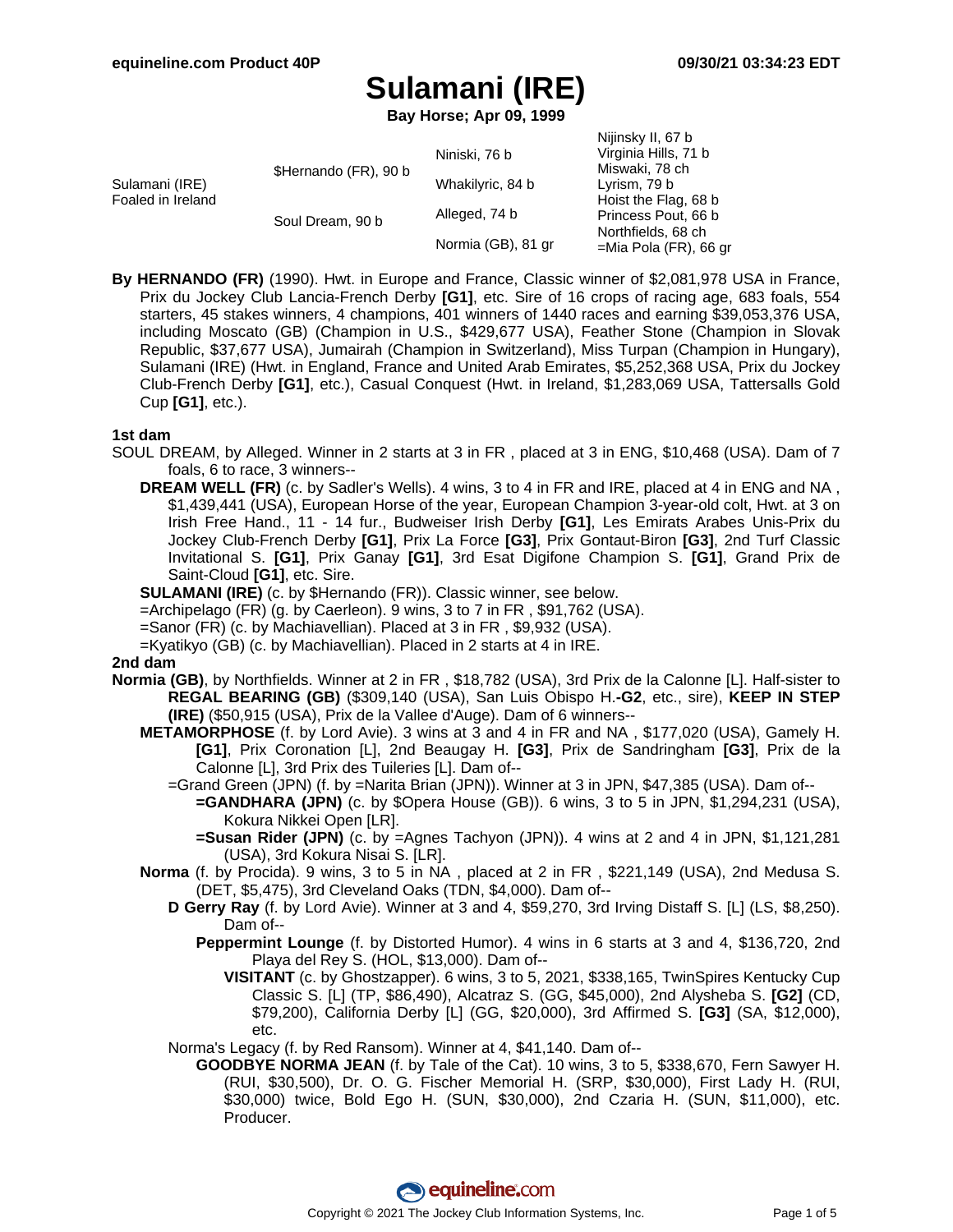Nijinsky II, 67 b

# **Sulamani (IRE)**

**Bay Horse; Apr 09, 1999**

|                                       | Niniski. 76 b      | Virginia Hills, 71 b     |
|---------------------------------------|--------------------|--------------------------|
| \$Hernando (FR), 90 b                 |                    | Miswaki, 78 ch           |
|                                       | Whakilyric, 84 b   | Lyrism, 79 b             |
| Foaled in Ireland<br>Soul Dream, 90 b | Alleged, 74 b      | Hoist the Flag, 68 b     |
|                                       |                    | Princess Pout, 66 b      |
|                                       | Normia (GB), 81 gr | Northfields, 68 ch       |
|                                       |                    | $=$ Mia Pola (FR), 66 gr |
|                                       |                    |                          |

**By HERNANDO (FR)** (1990). Hwt. in Europe and France, Classic winner of \$2,081,978 USA in France, Prix du Jockey Club Lancia-French Derby **[G1]**, etc. Sire of 16 crops of racing age, 683 foals, 554 starters, 45 stakes winners, 4 champions, 401 winners of 1440 races and earning \$39,053,376 USA, including Moscato (GB) (Champion in U.S., \$429,677 USA), Feather Stone (Champion in Slovak Republic, \$37,677 USA), Jumairah (Champion in Switzerland), Miss Turpan (Champion in Hungary), Sulamani (IRE) (Hwt. in England, France and United Arab Emirates, \$5,252,368 USA, Prix du Jockey Club-French Derby **[G1]**, etc.), Casual Conquest (Hwt. in Ireland, \$1,283,069 USA, Tattersalls Gold Cup **[G1]**, etc.).

### **1st dam**

- SOUL DREAM, by Alleged. Winner in 2 starts at 3 in FR , placed at 3 in ENG, \$10,468 (USA). Dam of 7 foals, 6 to race, 3 winners--
	- **DREAM WELL (FR)** (c. by Sadler's Wells). 4 wins, 3 to 4 in FR and IRE, placed at 4 in ENG and NA , \$1,439,441 (USA), European Horse of the year, European Champion 3-year-old colt, Hwt. at 3 on Irish Free Hand., 11 - 14 fur., Budweiser Irish Derby **[G1]**, Les Emirats Arabes Unis-Prix du Jockey Club-French Derby **[G1]**, Prix La Force **[G3]**, Prix Gontaut-Biron **[G3]**, 2nd Turf Classic Invitational S. **[G1]**, Prix Ganay **[G1]**, 3rd Esat Digifone Champion S. **[G1]**, Grand Prix de Saint-Cloud **[G1]**, etc. Sire.
	- **SULAMANI (IRE)** (c. by \$Hernando (FR)). Classic winner, see below.
	- =Archipelago (FR) (g. by Caerleon). 9 wins, 3 to 7 in FR , \$91,762 (USA).
	- =Sanor (FR) (c. by Machiavellian). Placed at 3 in FR , \$9,932 (USA).
	- =Kyatikyo (GB) (c. by Machiavellian). Placed in 2 starts at 4 in IRE.

### **2nd dam**

- **Normia (GB)**, by Northfields. Winner at 2 in FR , \$18,782 (USA), 3rd Prix de la Calonne [L]. Half-sister to **REGAL BEARING (GB)** (\$309,140 (USA), San Luis Obispo H.**-G2**, etc., sire), **KEEP IN STEP (IRE)** (\$50,915 (USA), Prix de la Vallee d'Auge). Dam of 6 winners--
	- **METAMORPHOSE** (f. by Lord Avie). 3 wins at 3 and 4 in FR and NA , \$177,020 (USA), Gamely H. **[G1]**, Prix Coronation [L], 2nd Beaugay H. **[G3]**, Prix de Sandringham **[G3]**, Prix de la Calonne [L], 3rd Prix des Tuileries [L]. Dam of--
		- =Grand Green (JPN) (f. by =Narita Brian (JPN)). Winner at 3 in JPN, \$47,385 (USA). Dam of--
			- **=GANDHARA (JPN)** (c. by \$Opera House (GB)). 6 wins, 3 to 5 in JPN, \$1,294,231 (USA), Kokura Nikkei Open [LR].
				- **=Susan Rider (JPN)** (c. by =Agnes Tachyon (JPN)). 4 wins at 2 and 4 in JPN, \$1,121,281 (USA), 3rd Kokura Nisai S. [LR].
	- **Norma** (f. by Procida). 9 wins, 3 to 5 in NA , placed at 2 in FR , \$221,149 (USA), 2nd Medusa S. (DET, \$5,475), 3rd Cleveland Oaks (TDN, \$4,000). Dam of--
		- **D Gerry Ray** (f. by Lord Avie). Winner at 3 and 4, \$59,270, 3rd Irving Distaff S. [L] (LS, \$8,250). Dam of--
			- **Peppermint Lounge** (f. by Distorted Humor). 4 wins in 6 starts at 3 and 4, \$136,720, 2nd Playa del Rey S. (HOL, \$13,000). Dam of--
				- **VISITANT** (c. by Ghostzapper). 6 wins, 3 to 5, 2021, \$338,165, TwinSpires Kentucky Cup Classic S. [L] (TP, \$86,490), Alcatraz S. (GG, \$45,000), 2nd Alysheba S. **[G2]** (CD, \$79,200), California Derby [L] (GG, \$20,000), 3rd Affirmed S. **[G3]** (SA, \$12,000), etc.
		- Norma's Legacy (f. by Red Ransom). Winner at 4, \$41,140. Dam of--
			- **GOODBYE NORMA JEAN** (f. by Tale of the Cat). 10 wins, 3 to 5, \$338,670, Fern Sawyer H. (RUI, \$30,500), Dr. O. G. Fischer Memorial H. (SRP, \$30,000), First Lady H. (RUI, \$30,000) twice, Bold Ego H. (SUN, \$30,000), 2nd Czaria H. (SUN, \$11,000), etc. Producer.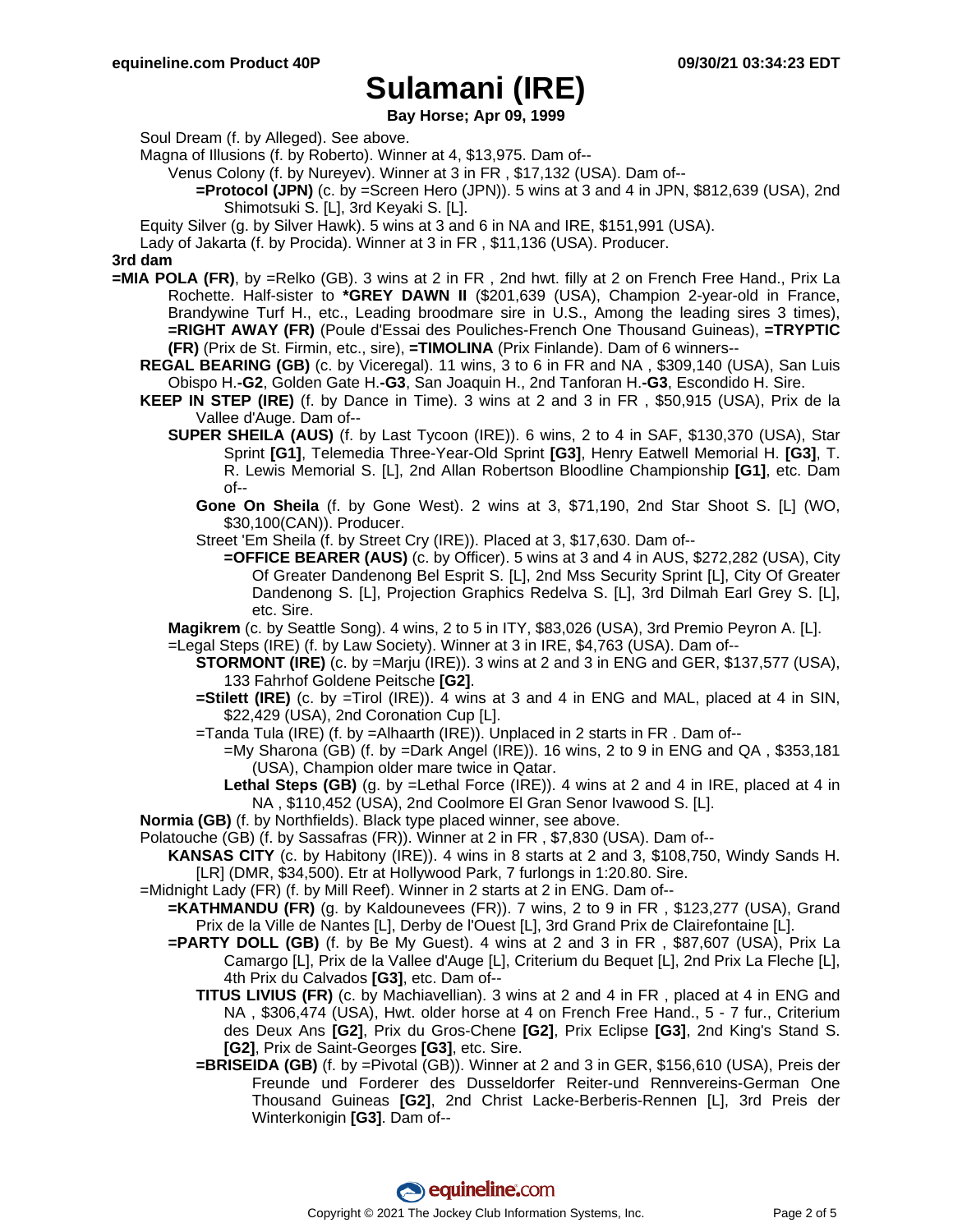**Bay Horse; Apr 09, 1999**

Soul Dream (f. by Alleged). See above.

- Magna of Illusions (f. by Roberto). Winner at 4, \$13,975. Dam of--
	- Venus Colony (f. by Nureyev). Winner at 3 in FR , \$17,132 (USA). Dam of--
	- **=Protocol (JPN)** (c. by =Screen Hero (JPN)). 5 wins at 3 and 4 in JPN, \$812,639 (USA), 2nd Shimotsuki S. [L], 3rd Keyaki S. [L].
- Equity Silver (g. by Silver Hawk). 5 wins at 3 and 6 in NA and IRE, \$151,991 (USA).

Lady of Jakarta (f. by Procida). Winner at 3 in FR , \$11,136 (USA). Producer.

#### **3rd dam**

- **=MIA POLA (FR)**, by =Relko (GB). 3 wins at 2 in FR , 2nd hwt. filly at 2 on French Free Hand., Prix La Rochette. Half-sister to **\*GREY DAWN II** (\$201,639 (USA), Champion 2-year-old in France, Brandywine Turf H., etc., Leading broodmare sire in U.S., Among the leading sires 3 times), **=RIGHT AWAY (FR)** (Poule d'Essai des Pouliches-French One Thousand Guineas), **=TRYPTIC (FR)** (Prix de St. Firmin, etc., sire), **=TIMOLINA** (Prix Finlande). Dam of 6 winners--
	- **REGAL BEARING (GB)** (c. by Viceregal). 11 wins, 3 to 6 in FR and NA , \$309,140 (USA), San Luis Obispo H.**-G2**, Golden Gate H.**-G3**, San Joaquin H., 2nd Tanforan H.**-G3**, Escondido H. Sire.
	- **KEEP IN STEP (IRE)** (f. by Dance in Time). 3 wins at 2 and 3 in FR , \$50,915 (USA), Prix de la Vallee d'Auge. Dam of--
		- **SUPER SHEILA (AUS)** (f. by Last Tycoon (IRE)). 6 wins, 2 to 4 in SAF, \$130,370 (USA), Star Sprint **[G1]**, Telemedia Three-Year-Old Sprint **[G3]**, Henry Eatwell Memorial H. **[G3]**, T. R. Lewis Memorial S. [L], 2nd Allan Robertson Bloodline Championship **[G1]**, etc. Dam of--
			- **Gone On Sheila** (f. by Gone West). 2 wins at 3, \$71,190, 2nd Star Shoot S. [L] (WO, \$30,100(CAN)). Producer.
			- Street 'Em Sheila (f. by Street Cry (IRE)). Placed at 3, \$17,630. Dam of--
				- **=OFFICE BEARER (AUS)** (c. by Officer). 5 wins at 3 and 4 in AUS, \$272,282 (USA), City Of Greater Dandenong Bel Esprit S. [L], 2nd Mss Security Sprint [L], City Of Greater Dandenong S. [L], Projection Graphics Redelva S. [L], 3rd Dilmah Earl Grey S. [L], etc. Sire.
		- **Magikrem** (c. by Seattle Song). 4 wins, 2 to 5 in ITY, \$83,026 (USA), 3rd Premio Peyron A. [L].
		- =Legal Steps (IRE) (f. by Law Society). Winner at 3 in IRE, \$4,763 (USA). Dam of--
			- **STORMONT (IRE)** (c. by =Marju (IRE)). 3 wins at 2 and 3 in ENG and GER, \$137,577 (USA), 133 Fahrhof Goldene Peitsche **[G2]**.
			- **=Stilett (IRE)** (c. by =Tirol (IRE)). 4 wins at 3 and 4 in ENG and MAL, placed at 4 in SIN, \$22,429 (USA), 2nd Coronation Cup [L].
			- =Tanda Tula (IRE) (f. by =Alhaarth (IRE)). Unplaced in 2 starts in FR . Dam of--
				- $=$ My Sharona (GB) (f. by  $=$ Dark Angel (IRE)). 16 wins, 2 to 9 in ENG and QA, \$353,181 (USA), Champion older mare twice in Qatar.
				- **Lethal Steps (GB)** (g. by =Lethal Force (IRE)). 4 wins at 2 and 4 in IRE, placed at 4 in NA , \$110,452 (USA), 2nd Coolmore El Gran Senor Ivawood S. [L].
	- **Normia (GB)** (f. by Northfields). Black type placed winner, see above.
	- Polatouche (GB) (f. by Sassafras (FR)). Winner at 2 in FR , \$7,830 (USA). Dam of--
		- **KANSAS CITY** (c. by Habitony (IRE)). 4 wins in 8 starts at 2 and 3, \$108,750, Windy Sands H. [LR] (DMR, \$34,500). Etr at Hollywood Park, 7 furlongs in 1:20.80. Sire.
	- =Midnight Lady (FR) (f. by Mill Reef). Winner in 2 starts at 2 in ENG. Dam of--
		- **=KATHMANDU (FR)** (g. by Kaldounevees (FR)). 7 wins, 2 to 9 in FR , \$123,277 (USA), Grand Prix de la Ville de Nantes [L], Derby de l'Ouest [L], 3rd Grand Prix de Clairefontaine [L].
			- **=PARTY DOLL (GB)** (f. by Be My Guest). 4 wins at 2 and 3 in FR , \$87,607 (USA), Prix La Camargo [L], Prix de la Vallee d'Auge [L], Criterium du Bequet [L], 2nd Prix La Fleche [L], 4th Prix du Calvados **[G3]**, etc. Dam of--
				- **TITUS LIVIUS (FR)** (c. by Machiavellian). 3 wins at 2 and 4 in FR , placed at 4 in ENG and NA , \$306,474 (USA), Hwt. older horse at 4 on French Free Hand., 5 - 7 fur., Criterium des Deux Ans **[G2]**, Prix du Gros-Chene **[G2]**, Prix Eclipse **[G3]**, 2nd King's Stand S. **[G2]**, Prix de Saint-Georges **[G3]**, etc. Sire.
				- **=BRISEIDA (GB)** (f. by =Pivotal (GB)). Winner at 2 and 3 in GER, \$156,610 (USA), Preis der Freunde und Forderer des Dusseldorfer Reiter-und Rennvereins-German One Thousand Guineas **[G2]**, 2nd Christ Lacke-Berberis-Rennen [L], 3rd Preis der Winterkonigin **[G3]**. Dam of--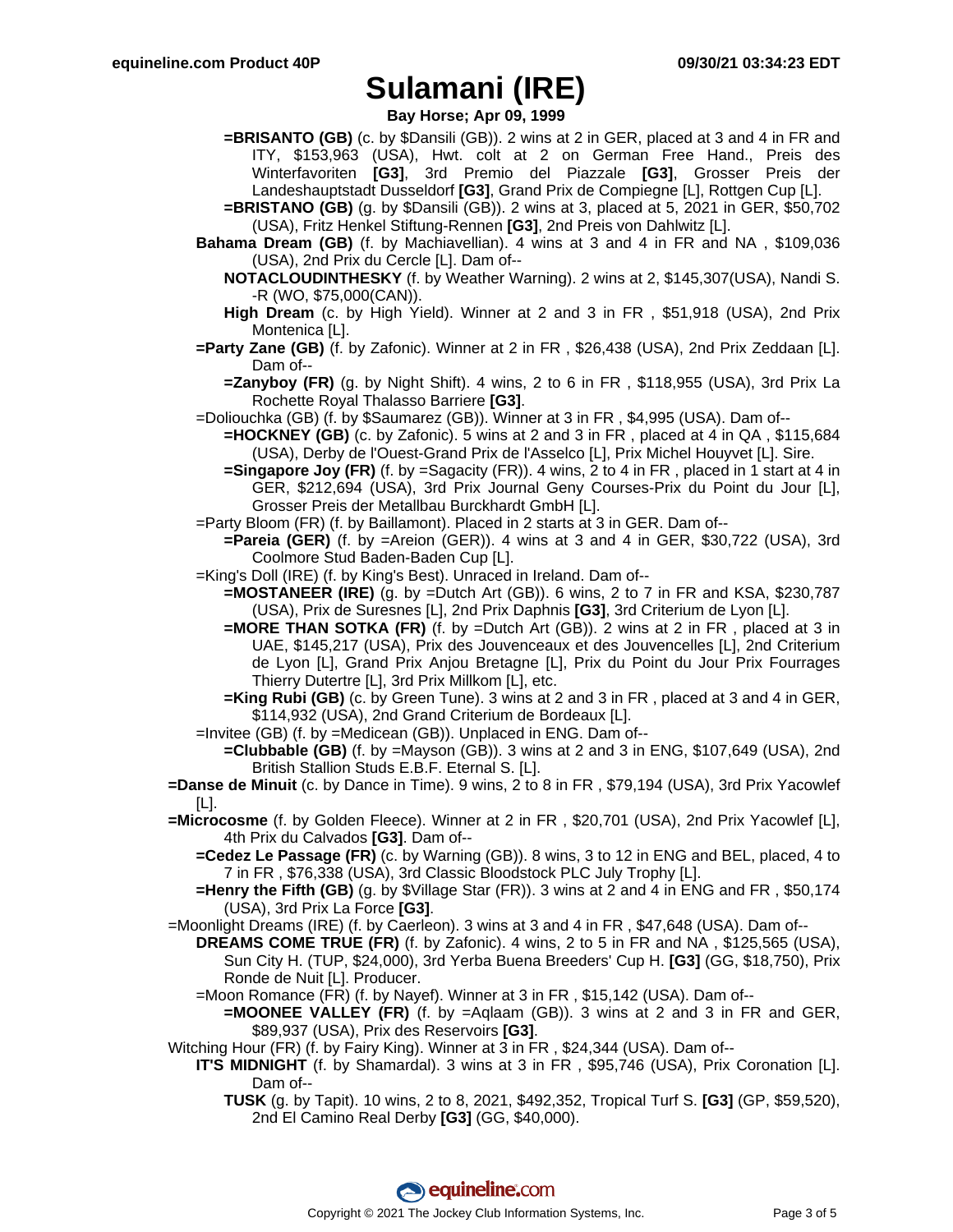**Bay Horse; Apr 09, 1999**

**=BRISANTO (GB)** (c. by \$Dansili (GB)). 2 wins at 2 in GER, placed at 3 and 4 in FR and ITY, \$153,963 (USA), Hwt. colt at 2 on German Free Hand., Preis des Winterfavoriten **[G3]**, 3rd Premio del Piazzale **[G3]**, Grosser Preis der Landeshauptstadt Dusseldorf **[G3]**, Grand Prix de Compiegne [L], Rottgen Cup [L].

**=BRISTANO (GB)** (g. by \$Dansili (GB)). 2 wins at 3, placed at 5, 2021 in GER, \$50,702 (USA), Fritz Henkel Stiftung-Rennen **[G3]**, 2nd Preis von Dahlwitz [L].

**Bahama Dream (GB)** (f. by Machiavellian). 4 wins at 3 and 4 in FR and NA , \$109,036 (USA), 2nd Prix du Cercle [L]. Dam of--

- **High Dream** (c. by High Yield). Winner at 2 and 3 in FR , \$51,918 (USA), 2nd Prix Montenica [L].
- **=Party Zane (GB)** (f. by Zafonic). Winner at 2 in FR , \$26,438 (USA), 2nd Prix Zeddaan [L]. Dam of--

**=Zanyboy (FR)** (g. by Night Shift). 4 wins, 2 to 6 in FR , \$118,955 (USA), 3rd Prix La Rochette Royal Thalasso Barriere **[G3]**.

- =Doliouchka (GB) (f. by \$Saumarez (GB)). Winner at 3 in FR , \$4,995 (USA). Dam of--
	- **=HOCKNEY (GB)** (c. by Zafonic). 5 wins at 2 and 3 in FR , placed at 4 in QA , \$115,684 (USA), Derby de l'Ouest-Grand Prix de l'Asselco [L], Prix Michel Houyvet [L]. Sire.
	- **=Singapore Joy (FR)** (f. by =Sagacity (FR)). 4 wins, 2 to 4 in FR, placed in 1 start at 4 in GER, \$212,694 (USA), 3rd Prix Journal Geny Courses-Prix du Point du Jour [L], Grosser Preis der Metallbau Burckhardt GmbH [L].
- =Party Bloom (FR) (f. by Baillamont). Placed in 2 starts at 3 in GER. Dam of--
	- **=Pareia (GER)** (f. by =Areion (GER)). 4 wins at 3 and 4 in GER, \$30,722 (USA), 3rd Coolmore Stud Baden-Baden Cup [L].
- =King's Doll (IRE) (f. by King's Best). Unraced in Ireland. Dam of--
	- **=MOSTANEER (IRE)** (g. by =Dutch Art (GB)). 6 wins, 2 to 7 in FR and KSA, \$230,787 (USA), Prix de Suresnes [L], 2nd Prix Daphnis **[G3]**, 3rd Criterium de Lyon [L].
	- **=MORE THAN SOTKA (FR)** (f. by =Dutch Art (GB)). 2 wins at 2 in FR , placed at 3 in UAE, \$145,217 (USA), Prix des Jouvenceaux et des Jouvencelles [L], 2nd Criterium de Lyon [L], Grand Prix Anjou Bretagne [L], Prix du Point du Jour Prix Fourrages Thierry Dutertre [L], 3rd Prix Millkom [L], etc.
	- **=King Rubi (GB)** (c. by Green Tune). 3 wins at 2 and 3 in FR , placed at 3 and 4 in GER, \$114,932 (USA), 2nd Grand Criterium de Bordeaux [L].
- =Invitee (GB) (f. by =Medicean (GB)). Unplaced in ENG. Dam of--
	- **=Clubbable (GB)** (f. by =Mayson (GB)). 3 wins at 2 and 3 in ENG, \$107,649 (USA), 2nd British Stallion Studs E.B.F. Eternal S. [L].
- **=Danse de Minuit** (c. by Dance in Time). 9 wins, 2 to 8 in FR , \$79,194 (USA), 3rd Prix Yacowlef [L].
- **=Microcosme** (f. by Golden Fleece). Winner at 2 in FR , \$20,701 (USA), 2nd Prix Yacowlef [L], 4th Prix du Calvados **[G3]**. Dam of--
	- **=Cedez Le Passage (FR)** (c. by Warning (GB)). 8 wins, 3 to 12 in ENG and BEL, placed, 4 to 7 in FR , \$76,338 (USA), 3rd Classic Bloodstock PLC July Trophy [L].
	- **=Henry the Fifth (GB)** (g. by \$Village Star (FR)). 3 wins at 2 and 4 in ENG and FR, \$50,174 (USA), 3rd Prix La Force **[G3]**.

=Moonlight Dreams (IRE) (f. by Caerleon). 3 wins at 3 and 4 in FR , \$47,648 (USA). Dam of--

- **DREAMS COME TRUE (FR)** (f. by Zafonic). 4 wins, 2 to 5 in FR and NA , \$125,565 (USA), Sun City H. (TUP, \$24,000), 3rd Yerba Buena Breeders' Cup H. **[G3]** (GG, \$18,750), Prix Ronde de Nuit [L]. Producer.
- =Moon Romance (FR) (f. by Nayef). Winner at 3 in FR , \$15,142 (USA). Dam of--
	- **=MOONEE VALLEY (FR)** (f. by =Aqlaam (GB)). 3 wins at 2 and 3 in FR and GER, \$89,937 (USA), Prix des Reservoirs **[G3]**.
- Witching Hour (FR) (f. by Fairy King). Winner at 3 in FR , \$24,344 (USA). Dam of--
	- **IT'S MIDNIGHT** (f. by Shamardal). 3 wins at 3 in FR , \$95,746 (USA), Prix Coronation [L]. Dam of--
		- **TUSK** (g. by Tapit). 10 wins, 2 to 8, 2021, \$492,352, Tropical Turf S. **[G3]** (GP, \$59,520), 2nd El Camino Real Derby **[G3]** (GG, \$40,000).

**NOTACLOUDINTHESKY** (f. by Weather Warning). 2 wins at 2, \$145,307(USA), Nandi S. -R (WO, \$75,000(CAN)).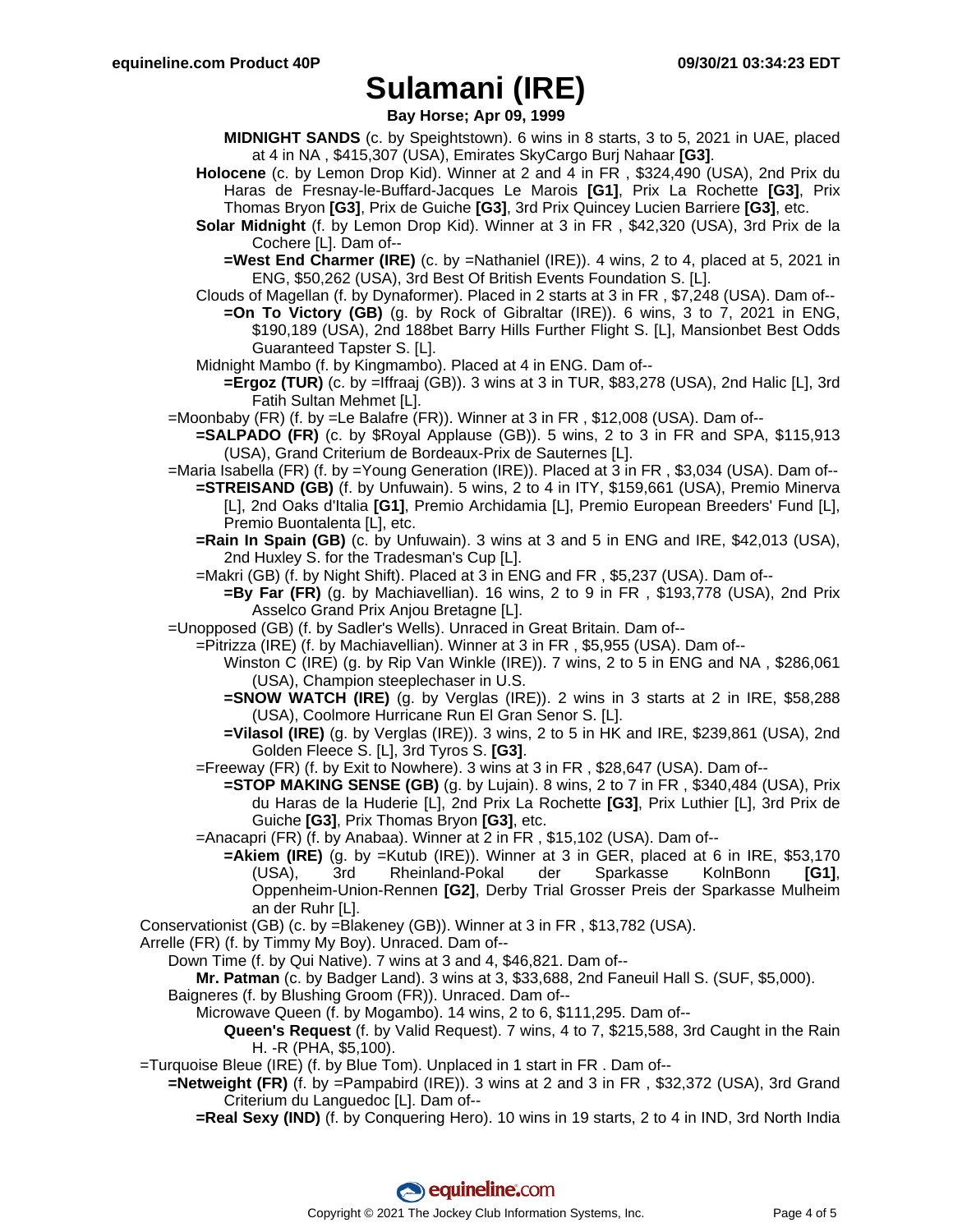**Bay Horse; Apr 09, 1999**

- **MIDNIGHT SANDS** (c. by Speightstown). 6 wins in 8 starts, 3 to 5, 2021 in UAE, placed at 4 in NA , \$415,307 (USA), Emirates SkyCargo Burj Nahaar **[G3]**.
- **Holocene** (c. by Lemon Drop Kid). Winner at 2 and 4 in FR , \$324,490 (USA), 2nd Prix du Haras de Fresnay-le-Buffard-Jacques Le Marois **[G1]**, Prix La Rochette **[G3]**, Prix Thomas Bryon **[G3]**, Prix de Guiche **[G3]**, 3rd Prix Quincey Lucien Barriere **[G3]**, etc.
- **Solar Midnight** (f. by Lemon Drop Kid). Winner at 3 in FR , \$42,320 (USA), 3rd Prix de la Cochere [L]. Dam of--
	- **=West End Charmer (IRE)** (c. by =Nathaniel (IRE)). 4 wins, 2 to 4, placed at 5, 2021 in ENG, \$50,262 (USA), 3rd Best Of British Events Foundation S. [L].
- Clouds of Magellan (f. by Dynaformer). Placed in 2 starts at 3 in FR , \$7,248 (USA). Dam of--
	- **=On To Victory (GB)** (g. by Rock of Gibraltar (IRE)). 6 wins, 3 to 7, 2021 in ENG, \$190,189 (USA), 2nd 188bet Barry Hills Further Flight S. [L], Mansionbet Best Odds Guaranteed Tapster S. [L].
- Midnight Mambo (f. by Kingmambo). Placed at 4 in ENG. Dam of--
	- **=Ergoz (TUR)** (c. by =Iffraaj (GB)). 3 wins at 3 in TUR, \$83,278 (USA), 2nd Halic [L], 3rd Fatih Sultan Mehmet [L].
- =Moonbaby (FR) (f. by =Le Balafre (FR)). Winner at 3 in FR , \$12,008 (USA). Dam of--
	- **=SALPADO (FR)** (c. by \$Royal Applause (GB)). 5 wins, 2 to 3 in FR and SPA, \$115,913 (USA), Grand Criterium de Bordeaux-Prix de Sauternes [L].
- =Maria Isabella (FR) (f. by =Young Generation (IRE)). Placed at 3 in FR , \$3,034 (USA). Dam of--
	- **=STREISAND (GB)** (f. by Unfuwain). 5 wins, 2 to 4 in ITY, \$159,661 (USA), Premio Minerva [L], 2nd Oaks d'Italia **[G1]**, Premio Archidamia [L], Premio European Breeders' Fund [L], Premio Buontalenta [L], etc.
	- **=Rain In Spain (GB)** (c. by Unfuwain). 3 wins at 3 and 5 in ENG and IRE, \$42,013 (USA), 2nd Huxley S. for the Tradesman's Cup [L].
	- =Makri (GB) (f. by Night Shift). Placed at 3 in ENG and FR , \$5,237 (USA). Dam of--
		- **=By Far (FR)** (g. by Machiavellian). 16 wins, 2 to 9 in FR , \$193,778 (USA), 2nd Prix Asselco Grand Prix Anjou Bretagne [L].
- =Unopposed (GB) (f. by Sadler's Wells). Unraced in Great Britain. Dam of--
	- =Pitrizza (IRE) (f. by Machiavellian). Winner at 3 in FR , \$5,955 (USA). Dam of--
		- Winston C (IRE) (g. by Rip Van Winkle (IRE)). 7 wins, 2 to 5 in ENG and NA , \$286,061 (USA), Champion steeplechaser in U.S.
		- **=SNOW WATCH (IRE)** (g. by Verglas (IRE)). 2 wins in 3 starts at 2 in IRE, \$58,288 (USA), Coolmore Hurricane Run El Gran Senor S. [L].
		- **=Vilasol (IRE)** (g. by Verglas (IRE)). 3 wins, 2 to 5 in HK and IRE, \$239,861 (USA), 2nd Golden Fleece S. [L], 3rd Tyros S. **[G3]**.
	- =Freeway (FR) (f. by Exit to Nowhere). 3 wins at 3 in FR , \$28,647 (USA). Dam of--
		- **=STOP MAKING SENSE (GB)** (g. by Lujain). 8 wins, 2 to 7 in FR , \$340,484 (USA), Prix du Haras de la Huderie [L], 2nd Prix La Rochette **[G3]**, Prix Luthier [L], 3rd Prix de Guiche **[G3]**, Prix Thomas Bryon **[G3]**, etc.
	- =Anacapri (FR) (f. by Anabaa). Winner at 2 in FR , \$15,102 (USA). Dam of--
		- **=Akiem (IRE)** (g. by =Kutub (IRE)). Winner at 3 in GER, placed at 6 in IRE, \$53,170 (USA), 3rd Rheinland-Pokal der Sparkasse KolnBonn **[G1]**, Oppenheim-Union-Rennen **[G2]**, Derby Trial Grosser Preis der Sparkasse Mulheim an der Ruhr [L].
- Conservationist (GB) (c. by =Blakeney (GB)). Winner at 3 in FR , \$13,782 (USA).
- Arrelle (FR) (f. by Timmy My Boy). Unraced. Dam of--
	- Down Time (f. by Qui Native). 7 wins at 3 and 4, \$46,821. Dam of--
	- **Mr. Patman** (c. by Badger Land). 3 wins at 3, \$33,688, 2nd Faneuil Hall S. (SUF, \$5,000).
	- Baigneres (f. by Blushing Groom (FR)). Unraced. Dam of--
		- Microwave Queen (f. by Mogambo). 14 wins, 2 to 6, \$111,295. Dam of--
			- **Queen's Request** (f. by Valid Request). 7 wins, 4 to 7, \$215,588, 3rd Caught in the Rain H. -R (PHA, \$5,100).
- =Turquoise Bleue (IRE) (f. by Blue Tom). Unplaced in 1 start in FR . Dam of--
	- **=Netweight (FR)** (f. by =Pampabird (IRE)). 3 wins at 2 and 3 in FR , \$32,372 (USA), 3rd Grand Criterium du Languedoc [L]. Dam of--
		- **=Real Sexy (IND)** (f. by Conquering Hero). 10 wins in 19 starts, 2 to 4 in IND, 3rd North India